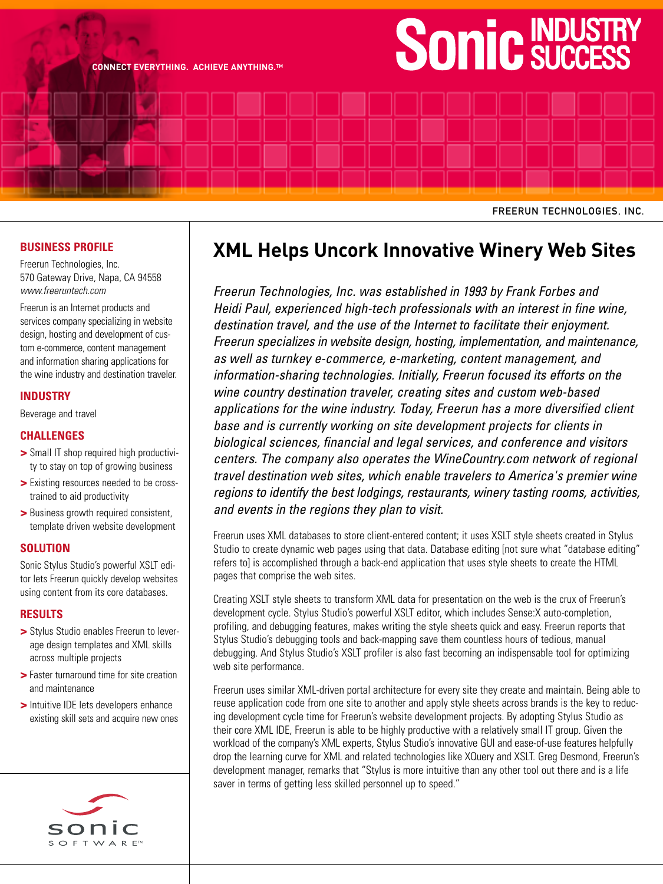# INDUSTRY **SUCCESS**

FREERUN TECHNOLOGIES, INC.

## **BUSINESS PROFILE**

Freerun Technologies, Inc. 570 Gateway Drive, Napa, CA 94558 www.freeruntech.com

**CONNECT EVERYTHING. ACHIEVE ANYTHING.TM**

Freerun is an Internet products and services company specializing in website design, hosting and development of custom e-commerce, content management and information sharing applications for the wine industry and destination traveler.

### **INDUSTRY**

Beverage and travel

#### **CHALLENGES**

- **>** Small IT shop required high productivity to stay on top of growing business
- **>** Existing resources needed to be crosstrained to aid productivity
- **>** Business growth required consistent, template driven website development

#### **SOLUTION**

Sonic Stylus Studio's powerful XSLT editor lets Freerun quickly develop websites using content from its core databases.

#### **RESULTS**

- **>** Stylus Studio enables Freerun to leverage design templates and XML skills across multiple projects
- **>** Faster turnaround time for site creation and maintenance
- **>** Intuitive IDE lets developers enhance existing skill sets and acquire new ones



# **XML Helps Uncork Innovative Winery Web Sites**

Freerun Technologies, Inc. was established in 1993 by Frank Forbes and Heidi Paul, experienced high-tech professionals with an interest in fine wine, destination travel, and the use of the Internet to facilitate their enjoyment. Freerun specializes in website design, hosting, implementation, and maintenance, as well as turnkey e-commerce, e-marketing, content management, and information-sharing technologies. Initially, Freerun focused its efforts on the wine country destination traveler, creating sites and custom web-based applications for the wine industry. Today, Freerun has a more diversified client base and is currently working on site development projects for clients in biological sciences, financial and legal services, and conference and visitors centers. The company also operates the WineCountry.com network of regional travel destination web sites, which enable travelers to America's premier wine regions to identify the best lodgings, restaurants, winery tasting rooms, activities, and events in the regions they plan to visit.

Freerun uses XML databases to store client-entered content; it uses XSLT style sheets created in Stylus Studio to create dynamic web pages using that data. Database editing [not sure what "database editing" refers to] is accomplished through a back-end application that uses style sheets to create the HTML pages that comprise the web sites.

Creating XSLT style sheets to transform XML data for presentation on the web is the crux of Freerun's development cycle. Stylus Studio's powerful XSLT editor, which includes Sense:X auto-completion, profiling, and debugging features, makes writing the style sheets quick and easy. Freerun reports that Stylus Studio's debugging tools and back-mapping save them countless hours of tedious, manual debugging. And Stylus Studio's XSLT profiler is also fast becoming an indispensable tool for optimizing web site performance.

Freerun uses similar XML-driven portal architecture for every site they create and maintain. Being able to reuse application code from one site to another and apply style sheets across brands is the key to reducing development cycle time for Freerun's website development projects. By adopting Stylus Studio as their core XML IDE, Freerun is able to be highly productive with a relatively small IT group. Given the workload of the company's XML experts, Stylus Studio's innovative GUI and ease-of-use features helpfully drop the learning curve for XML and related technologies like XQuery and XSLT. Greg Desmond, Freerun's development manager, remarks that "Stylus is more intuitive than any other tool out there and is a life saver in terms of getting less skilled personnel up to speed."